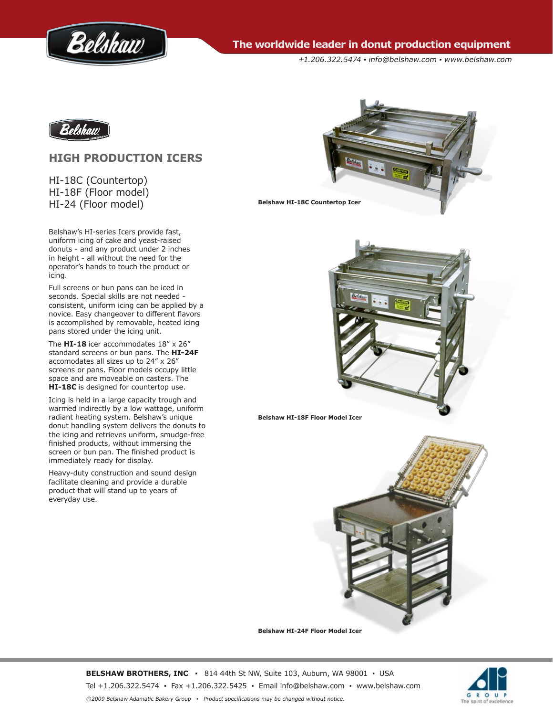

**The worldwide leader in donut production equipment** 

+1.206.322.5474 ▪ info@belshaw.com ▪ www.belshaw.com



# **HIGH PRODUCTION ICERS**

HI-18C (Countertop) HI-18F (Floor model) HI-24 (Floor model)

Belshaw's HI-series Icers provide fast, uniform icing of cake and yeast-raised donuts - and any product under 2 inches in height - all without the need for the operator's hands to touch the product or icing.

Full screens or bun pans can be iced in seconds. Special skills are not needed consistent, uniform icing can be applied by a novice. Easy changeover to different flavors is accomplished by removable, heated icing pans stored under the icing unit.

The **HI-18** icer accommodates 18" x 26" standard screens or bun pans. The **HI-24F** accomodates all sizes up to 24" x 26" screens or pans. Floor models occupy little space and are moveable on casters. The **HI-18C** is designed for countertop use.

Icing is held in a large capacity trough and warmed indirectly by a low wattage, uniform radiant heating system. Belshaw's unique donut handling system delivers the donuts to the icing and retrieves uniform, smudge-free finished products, without immersing the screen or bun pan. The finished product is immediately ready for display.

Heavy-duty construction and sound design facilitate cleaning and provide a durable product that will stand up to years of everyday use.



**Belshaw HI-18F Floor Model Icer**



**Belshaw HI-24F Floor Model Icer**

**BELSHAW BROTHERS, INC ▪** 814 44th St NW, Suite 103, Auburn, WA 98001 **▪** USA Tel +1.206.322.5474 ▪ Fax +1.206.322.5425 ▪ Email info@belshaw.com ▪ [www.belshaw.com](http://www.belshaw-adamatic.com) ©2009 Belshaw Adamatic Bakery Group ▪ Product specifications may be changed without notice.